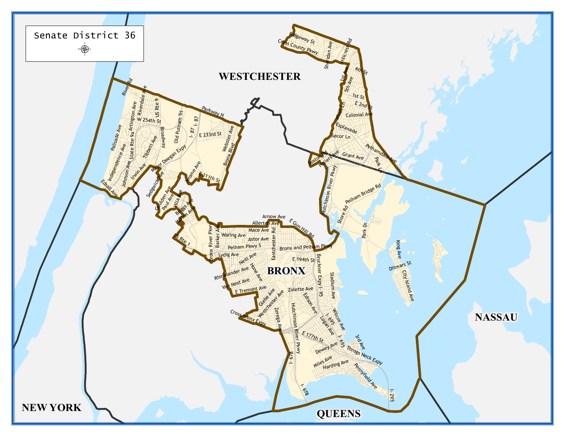